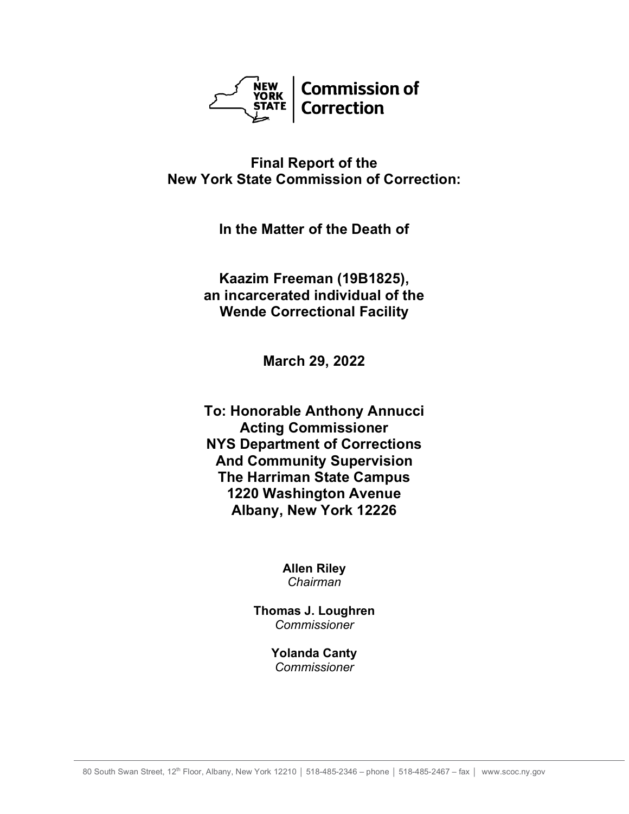

## **Final Report of the New York State Commission of Correction:**

**In the Matter of the Death of**

**Kaazim Freeman (19B1825), an incarcerated individual of the Wende Correctional Facility**

**March 29, 2022**

**To: Honorable Anthony Annucci Acting Commissioner NYS Department of Corrections And Community Supervision The Harriman State Campus 1220 Washington Avenue Albany, New York 12226**

> **Allen Riley** *Chairman*

**Thomas J. Loughren** *Commissioner*

> **Yolanda Canty** *Commissioner*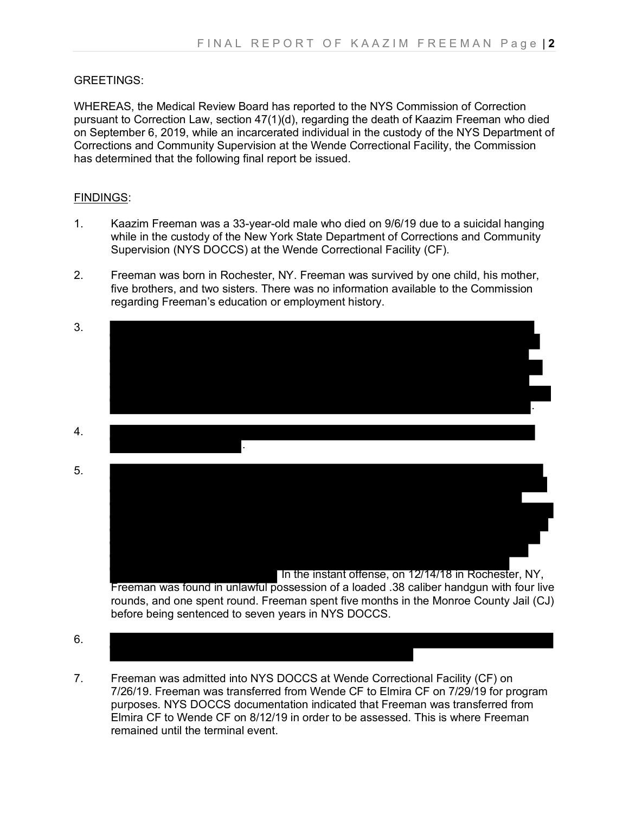## GREETINGS:

WHEREAS, the Medical Review Board has reported to the NYS Commission of Correction pursuant to Correction Law, section 47(1)(d), regarding the death of Kaazim Freeman who died on September 6, 2019, while an incarcerated individual in the custody of the NYS Department of Corrections and Community Supervision at the Wende Correctional Facility, the Commission has determined that the following final report be issued.

## FINDINGS:

- 1. Kaazim Freeman was a 33-year-old male who died on 9/6/19 due to a suicidal hanging while in the custody of the New York State Department of Corrections and Community Supervision (NYS DOCCS) at the Wende Correctional Facility (CF).
- 2. Freeman was born in Rochester, NY. Freeman was survived by one child, his mother, five brothers, and two sisters. There was no information available to the Commission regarding Freeman's education or employment history.



- before being sentenced to seven years in NYS DOCCS.
- 6.
- 7. Freeman was admitted into NYS DOCCS at Wende Correctional Facility (CF) on 7/26/19. Freeman was transferred from Wende CF to Elmira CF on 7/29/19 for program purposes. NYS DOCCS documentation indicated that Freeman was transferred from Elmira CF to Wende CF on 8/12/19 in order to be assessed. This is where Freeman remained until the terminal event.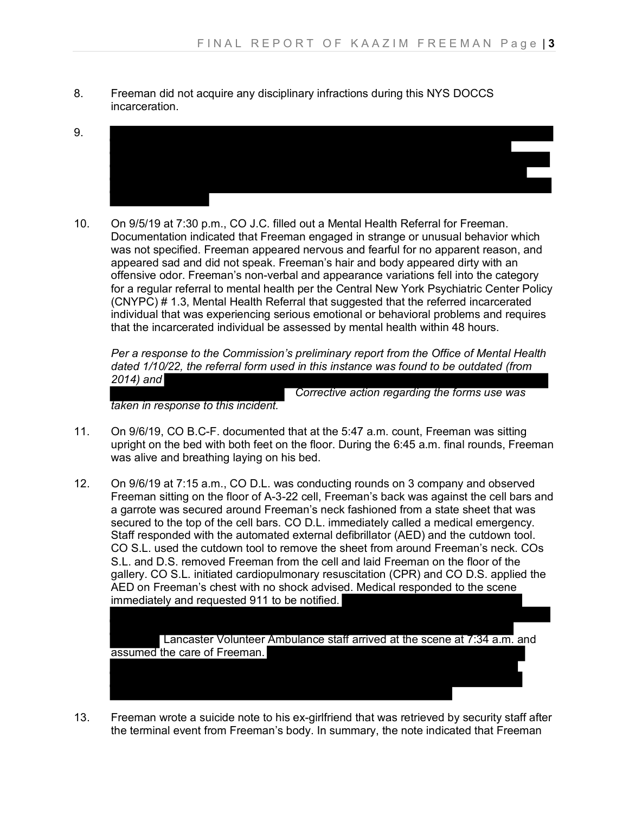- 8. Freeman did not acquire any disciplinary infractions during this NYS DOCCS incarceration.
- 9.
- 10. On 9/5/19 at 7:30 p.m., CO J.C. filled out a Mental Health Referral for Freeman. Documentation indicated that Freeman engaged in strange or unusual behavior which was not specified. Freeman appeared nervous and fearful for no apparent reason, and appeared sad and did not speak. Freeman's hair and body appeared dirty with an offensive odor. Freeman's non-verbal and appearance variations fell into the category for a regular referral to mental health per the Central New York Psychiatric Center Policy (CNYPC) # 1.3, Mental Health Referral that suggested that the referred incarcerated individual that was experiencing serious emotional or behavioral problems and requires that the incarcerated individual be assessed by mental health within 48 hours.

*Per a response to the Commission's preliminary report from the Office of Mental Health dated 1/10/22, the referral form used in this instance was found to be outdated (from 2014) and*

 *Corrective action regarding the forms use was* 

*taken in response to this incident.*

- 11. On 9/6/19, CO B.C-F. documented that at the 5:47 a.m. count, Freeman was sitting upright on the bed with both feet on the floor. During the 6:45 a.m. final rounds, Freeman was alive and breathing laying on his bed.
- 12. On 9/6/19 at 7:15 a.m., CO D.L. was conducting rounds on 3 company and observed Freeman sitting on the floor of A-3-22 cell, Freeman's back was against the cell bars and a garrote was secured around Freeman's neck fashioned from a state sheet that was secured to the top of the cell bars. CO D.L. immediately called a medical emergency. Staff responded with the automated external defibrillator (AED) and the cutdown tool. CO S.L. used the cutdown tool to remove the sheet from around Freeman's neck. COs S.L. and D.S. removed Freeman from the cell and laid Freeman on the floor of the gallery. CO S.L. initiated cardiopulmonary resuscitation (CPR) and CO D.S. applied the AED on Freeman's chest with no shock advised. Medical responded to the scene immediately and requested 911 to be notified.

Lancaster Volunteer Ambulance staff arrived at the scene at 7:34 a.m. and assumed the care of Freeman.

13. Freeman wrote a suicide note to his ex-girlfriend that was retrieved by security staff after the terminal event from Freeman's body. In summary, the note indicated that Freeman